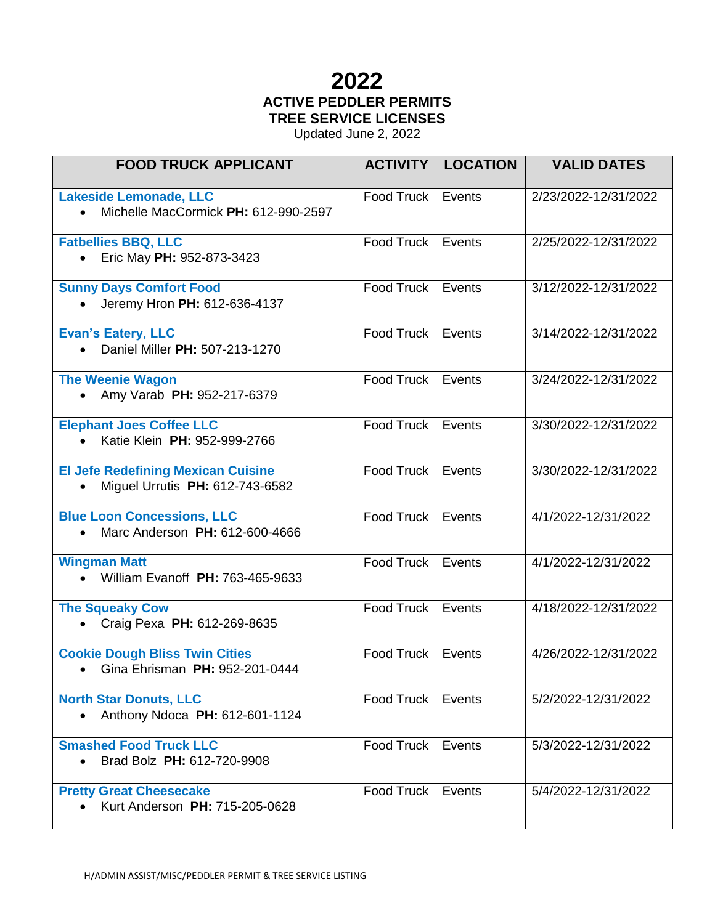## **2022 ACTIVE PEDDLER PERMITS TREE SERVICE LICENSES**

Updated June 2, 2022

| <b>FOOD TRUCK APPLICANT</b>                                                  | <b>ACTIVITY</b>   | <b>LOCATION</b> | <b>VALID DATES</b>   |
|------------------------------------------------------------------------------|-------------------|-----------------|----------------------|
| Lakeside Lemonade, LLC<br>Michelle MacCormick PH: 612-990-2597               | Food Truck        | Events          | 2/23/2022-12/31/2022 |
| <b>Fatbellies BBQ, LLC</b><br>Eric May PH: 952-873-3423                      | Food Truck        | Events          | 2/25/2022-12/31/2022 |
| <b>Sunny Days Comfort Food</b><br>Jeremy Hron PH: 612-636-4137               | Food Truck        | Events          | 3/12/2022-12/31/2022 |
| <b>Evan's Eatery, LLC</b><br>Daniel Miller PH: 507-213-1270                  | <b>Food Truck</b> | Events          | 3/14/2022-12/31/2022 |
| <b>The Weenie Wagon</b><br>Amy Varab PH: 952-217-6379                        | Food Truck        | Events          | 3/24/2022-12/31/2022 |
| <b>Elephant Joes Coffee LLC</b><br>Katie Klein PH: 952-999-2766              | Food Truck        | Events          | 3/30/2022-12/31/2022 |
| <b>El Jefe Redefining Mexican Cuisine</b><br>Miguel Urrutis PH: 612-743-6582 | Food Truck        | Events          | 3/30/2022-12/31/2022 |
| <b>Blue Loon Concessions, LLC</b><br>Marc Anderson PH: 612-600-4666          | <b>Food Truck</b> | Events          | 4/1/2022-12/31/2022  |
| <b>Wingman Matt</b><br>William Evanoff PH: 763-465-9633                      | Food Truck        | Events          | 4/1/2022-12/31/2022  |
| <b>The Squeaky Cow</b><br>Craig Pexa PH: 612-269-8635                        | Food Truck        | Events          | 4/18/2022-12/31/2022 |
| <b>Cookie Dough Bliss Twin Cities</b><br>Gina Ehrisman PH: 952-201-0444      | Food Truck        | Events          | 4/26/2022-12/31/2022 |
| <b>North Star Donuts, LLC</b><br>Anthony Ndoca PH: 612-601-1124              | Food Truck        | Events          | 5/2/2022-12/31/2022  |
| <b>Smashed Food Truck LLC</b><br>Brad Bolz PH: 612-720-9908                  | Food Truck        | Events          | 5/3/2022-12/31/2022  |
| <b>Pretty Great Cheesecake</b><br>Kurt Anderson PH: 715-205-0628             | Food Truck        | Events          | 5/4/2022-12/31/2022  |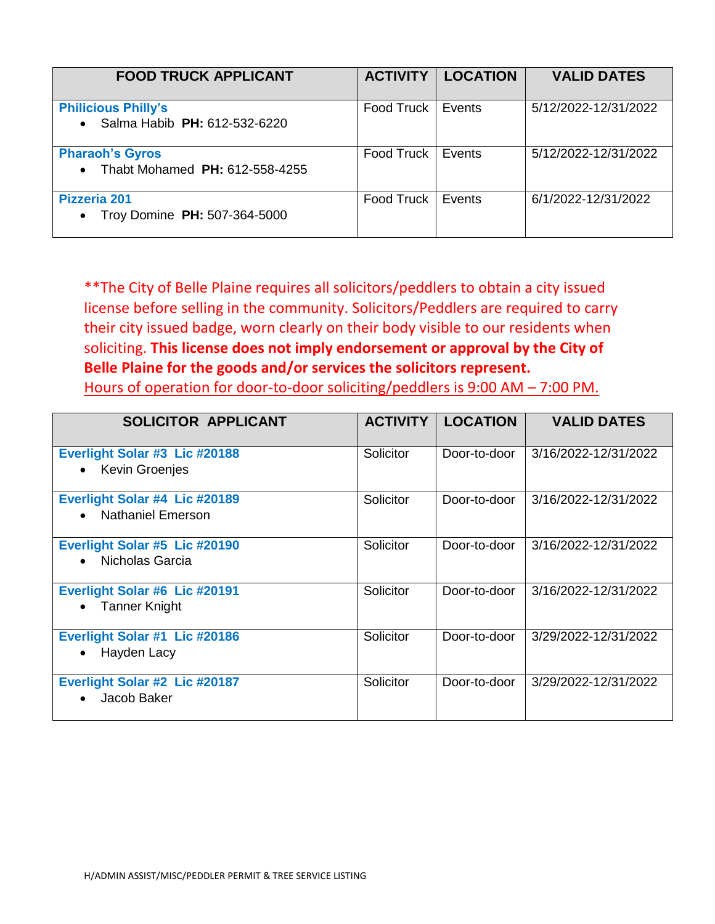| <b>FOOD TRUCK APPLICANT</b>                                           |                   | <b>ACTIVITY   LOCATION</b> | <b>VALID DATES</b>   |
|-----------------------------------------------------------------------|-------------------|----------------------------|----------------------|
| <b>Philicious Philly's</b><br>• Salma Habib PH: 612-532-6220          | Food Truck        | Events                     | 5/12/2022-12/31/2022 |
| <b>Pharaoh's Gyros</b><br>Thabt Mohamed PH: 612-558-4255<br>$\bullet$ | Food Truck        | Events                     | 5/12/2022-12/31/2022 |
| <b>Pizzeria 201</b><br>Troy Domine PH: 507-364-5000<br>$\bullet$      | <b>Food Truck</b> | Events                     | 6/1/2022-12/31/2022  |

\*\*The City of Belle Plaine requires all solicitors/peddlers to obtain a city issued license before selling in the community. Solicitors/Peddlers are required to carry their city issued badge, worn clearly on their body visible to our residents when soliciting. **This license does not imply endorsement or approval by the City of Belle Plaine for the goods and/or services the solicitors represent.** Hours of operation for door-to-door soliciting/peddlers is 9:00 AM – 7:00 PM.

| SOLICITOR APPLICANT                                                    | <b>ACTIVITY</b> | <b>LOCATION</b> | <b>VALID DATES</b>   |
|------------------------------------------------------------------------|-----------------|-----------------|----------------------|
| Everlight Solar #3 Lic #20188<br>• Kevin Groenjes                      | Solicitor       | Door-to-door    | 3/16/2022-12/31/2022 |
| Everlight Solar #4 Lic #20189<br><b>Nathaniel Emerson</b><br>$\bullet$ | Solicitor       | Door-to-door    | 3/16/2022-12/31/2022 |
| Everlight Solar #5 Lic #20190<br>Nicholas Garcia<br>$\bullet$          | Solicitor       | Door-to-door    | 3/16/2022-12/31/2022 |
| Everlight Solar #6 Lic #20191<br><b>Tanner Knight</b><br>$\bullet$     | Solicitor       | Door-to-door    | 3/16/2022-12/31/2022 |
| Everlight Solar #1 Lic #20186<br>Hayden Lacy                           | Solicitor       | Door-to-door    | 3/29/2022-12/31/2022 |
| Everlight Solar #2 Lic #20187<br>Jacob Baker<br>$\bullet$              | Solicitor       | Door-to-door    | 3/29/2022-12/31/2022 |